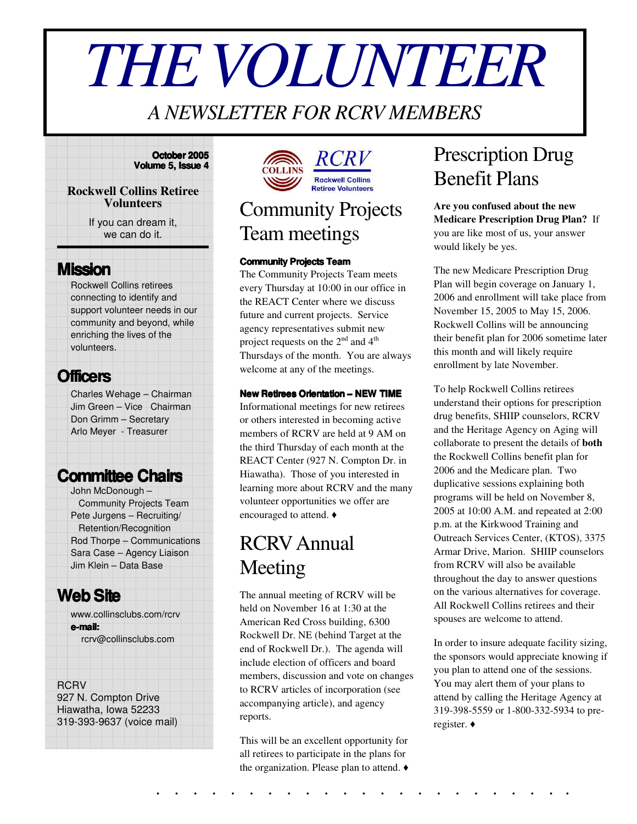# *THEVOLUNTEER*

### *A NEWSLETTER FOR RCRV MEMBERS*

#### **October 2005 Volume 5, Issue 4**

#### **Rockwell Collins Retiree Volunteers**

If you can dream it, we can do it.

### **Mission**

Rockwell Collins retirees connecting to identify and support volunteer needs in our community and beyond, while enriching the lives of the volunteers.

### **Officers**

Charles Wehage – Chairman Jim Green – Vice Chairman Don Grimm – Secretary Arlo Meyer - Treasurer

### **Committee Chairs**

John McDonough – Community Projects Team Pete Jurgens – Recruiting/ Retention/Recognition Rod Thorpe – Communications Sara Case – Agency Liaison Jim Klein – Data Base

### **WebSite**

www.collinsclubs.com/rcrv **e-mail:** rcrv@collinsclubs.com

#### **RCRV**

927 N. Compton Drive Hiawatha, Iowa 52233 319-393-9637 (voice mail)



# Community Projects Team meetings

#### **Community Projects Team**

The Community Projects Team meets every Thursday at 10:00 in our office in the REACT Center where we discuss future and current projects. Service agency representatives submit new project requests on the  $2<sup>nd</sup>$  and  $4<sup>th</sup>$ Thursdays of the month. You are always welcome at any of the meetings.

#### **New Retirees Orientation – NEW TIME**

Informational meetings for new retirees or others interested in becoming active members of RCRV are held at 9 AM on the third Thursday of each month at the REACT Center (927 N. Compton Dr. in Hiawatha). Those of you interested in learning more about RCRV and the many volunteer opportunities we offer are encouraged to attend.

### RCRVAnnual Meeting

The annual meeting of RCRV will be held on November 16 at 1:30 at the American Red Cross building, 6300 Rockwell Dr. NE (behind Target at the end of Rockwell Dr.). The agenda will include election of officers and board members, discussion and vote on changes to RCRV articles of incorporation (see accompanying article), and agency reports.

This will be an excellent opportunity for all retirees to participate in the plans for the organization. Please plan to attend.  $\blacklozenge$ 

### Prescription Drug Benefit Plans

**Are you confused about the new Medicare Prescription Drug Plan?** If you are like most of us, your answer would likely be yes.

The new Medicare Prescription Drug Plan will begin coverage on January 1, 2006 and enrollment will take place from November 15, 2005 to May 15, 2006. Rockwell Collins will be announcing their benefit plan for 2006 sometime later this month and will likely require enrollment by late November.

To help Rockwell Collins retirees understand their options for prescription drug benefits, SHIIP counselors, RCRV and the Heritage Agency on Aging will collaborate to present the details of **both** the Rockwell Collins benefit plan for 2006 and the Medicare plan. Two duplicative sessions explaining both programs will be held on November 8, 2005 at 10:00 A.M. and repeated at 2:00 p.m. at the Kirkwood Training and Outreach Services Center, (KTOS), 3375 Armar Drive, Marion. SHIIP counselors from RCRV will also be available throughout the day to answer questions on the various alternatives for coverage. All Rockwell Collins retirees and their spouses are welcome to attend.

In order to insure adequate facility sizing, the sponsors would appreciate knowing if you plan to attend one of the sessions. You may alert them of your plans to attend by calling the Heritage Agency at 319-398-5559 or 1-800-332-5934 to preregister.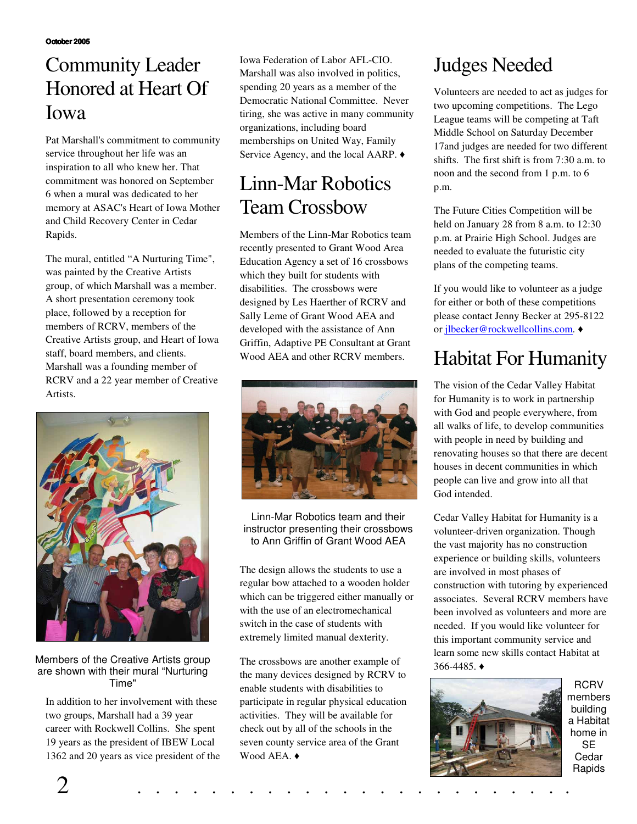### Community Leader Honored at Heart Of Iowa

Pat Marshall's commitment to community service throughout her life was an inspiration to all who knew her. That commitment was honored on September 6 when a mural was dedicated to her memory at ASAC's Heart of Iowa Mother and Child Recovery Center in Cedar Rapids.

The mural, entitled "A Nurturing Time", was painted by the Creative Artists group, of which Marshall was a member. A short presentation ceremony took place, followed by a reception for members of RCRV, members of the Creative Artists group, and Heart of Iowa staff, board members, and clients. Marshall was a founding member of RCRV and a 22 year member of Creative Artists.



#### Members of the Creative Artists group are shown with their mural "Nurturing Time"

In addition to her involvement with these two groups, Marshall had a 39 year career with Rockwell Collins. She spent 19 years as the president of IBEW Local 1362 and 20 years as vice president of the Iowa Federation of Labor AFL-CIO. Marshall was also involved in politics, spending 20 years as a member of the Democratic National Committee. Never tiring, she was active in many community organizations, including board memberships on United Way, Family Service Agency, and the local AARP.  $\triangleleft$ 

### Linn-Mar Robotics Team Crossbow

Members of the Linn-Mar Robotics team recently presented to Grant Wood Area Education Agency a set of 16 crossbows which they built for students with disabilities. The crossbows were designed by Les Haerther of RCRV and Sally Leme of Grant Wood AEA and developed with the assistance of Ann Griffin, Adaptive PE Consultant at Grant Wood AEA and other RCRV members.



Linn-Mar Robotics team and their instructor presenting their crossbows to Ann Griffin of Grant Wood AEA

The design allows the students to use a regular bow attached to a wooden holder which can be triggered either manually or with the use of an electromechanical switch in the case of students with extremely limited manual dexterity.

The crossbows are another example of the many devices designed by RCRV to enable students with disabilities to participate in regular physical education activities. They will be available for check out by all of the schools in the seven county service area of the Grant Wood AEA.  $\triangleleft$ 

# Judges Needed

Volunteers are needed to act as judges for two upcoming competitions. The Lego League teams will be competing at Taft Middle School on Saturday December 17and judges are needed for two different shifts. The first shift is from 7:30 a.m. to noon and the second from 1 p.m. to 6 p.m.

The Future Cities Competition will be held on January 28 from 8 a.m. to 12:30 p.m. at Prairie High School. Judges are needed to evaluate the futuristic city plans of the competing teams.

If you would like to volunteer as a judge for either or both of these competitions please contact Jenny Becker at 295-8122 or jlbecker@rockwellcollins.com. ♦

# Habitat For Humanity

The vision of the Cedar Valley Habitat for Humanity is to work in partnership with God and people everywhere, from all walks of life, to develop communities with people in need by building and renovating houses so that there are decent houses in decent communities in which people can live and grow into all that God intended.

Cedar Valley Habitat for Humanity is a volunteer-driven organization. Though the vast majority has no construction experience or building skills, volunteers are involved in most phases of construction with tutoring by experienced associates. Several RCRV members have been involved as volunteers and more are needed. If you would like volunteer for this important community service and learn some new skills contact Habitat at  $366 - 4485.$ 



**RCRV** members building a Habitat home in **SE** Cedar **Rapids**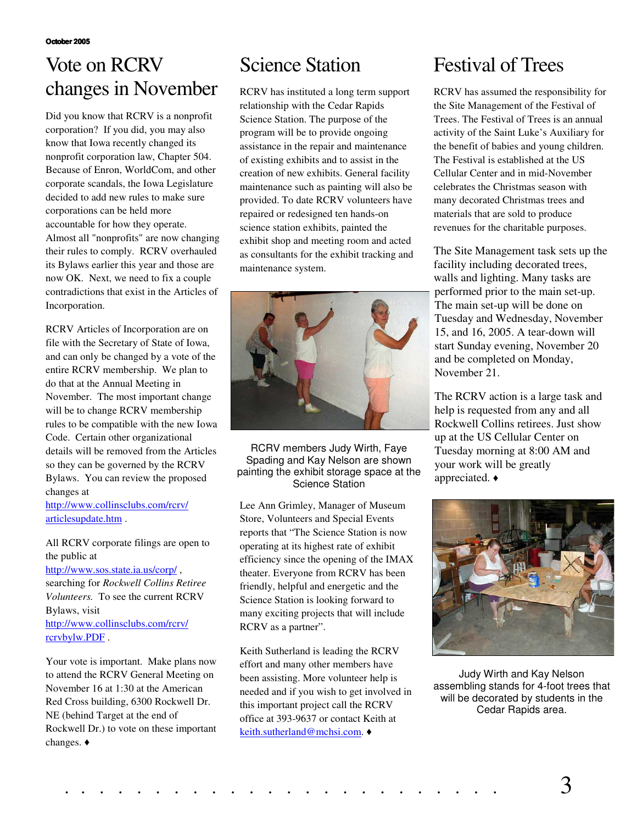### Vote on RCRV changes in November

Did you know that RCRV is a nonprofit corporation? If you did, you may also know that Iowa recently changed its nonprofit corporation law, Chapter 504. Because of Enron, WorldCom, and other corporate scandals, the Iowa Legislature decided to add new rules to make sure corporations can be held more accountable for how they operate. Almost all "nonprofits" are now changing their rules to comply. RCRV overhauled its Bylaws earlier this year and those are now OK. Next, we need to fix a couple contradictions that exist in the Articles of Incorporation.

RCRV Articles of Incorporation are on file with the Secretary of State of Iowa, and can only be changed by a vote of the entire RCRV membership. We plan to do that at the Annual Meeting in November. The most important change will be to change RCRV membership rules to be compatible with the new Iowa Code. Certain other organizational details will be removed from the Articles so they can be governed by the RCRV Bylaws. You can review the proposed changes at

http://www.collinsclubs.com/rcrv/ articlesupdate.htm .

All RCRV corporate filings are open to the public at

http://www.sos.state.ia.us/corp/ ,

searching for *Rockwell Collins Retiree Volunteers.* To see the current RCRV Bylaws, visit

http://www.collinsclubs.com/rcrv/ rcrvbylw.PDF .

Your vote is important. Make plans now to attend the RCRV General Meeting on November 16 at 1:30 at the American Red Cross building, 6300 Rockwell Dr. NE (behind Target at the end of Rockwell Dr.) to vote on these important changes.

### Science Station

RCRV has instituted a long term support relationship with the Cedar Rapids Science Station. The purpose of the program will be to provide ongoing assistance in the repair and maintenance of existing exhibits and to assist in the creation of new exhibits. General facility maintenance such as painting will also be provided. To date RCRV volunteers have repaired or redesigned ten hands-on science station exhibits, painted the exhibit shop and meeting room and acted as consultants for the exhibit tracking and maintenance system.



RCRV members Judy Wirth, Faye Spading and Kay Nelson are shown painting the exhibit storage space at the Science Station

Lee Ann Grimley, Manager of Museum Store, Volunteers and Special Events reports that "The Science Station is now operating at its highest rate of exhibit efficiency since the opening of the IMAX theater. Everyone from RCRV has been friendly, helpful and energetic and the Science Station is looking forward to many exciting projects that will include RCRV as a partner".

Keith Sutherland is leading the RCRV effort and many other members have been assisting. More volunteer help is needed and if you wish to get involved in this important project call the RCRV office at 393-9637 or contact Keith at keith.sutherland@mchsi.com. ♦

## Festival of Trees

RCRV has assumed the responsibility for the Site Management of the Festival of Trees. The Festival of Trees is an annual activity of the Saint Luke's Auxiliary for the benefit of babies and young children. The Festival is established at the US Cellular Center and in mid-November celebrates the Christmas season with many decorated Christmas trees and materials that are sold to produce revenues for the charitable purposes.

The Site Management task sets up the facility including decorated trees, walls and lighting. Many tasks are performed prior to the main set-up. The main set-up will be done on Tuesday and Wednesday, November 15, and 16, 2005. A tear-down will start Sunday evening, November 20 and be completed on Monday, November 21.

The RCRV action is a large task and help is requested from any and all Rockwell Collins retirees. Just show up at the US Cellular Center on Tuesday morning at 8:00 AM and your work will be greatly appreciated.



Judy Wirth and Kay Nelson assembling stands for 4-foot trees that will be decorated by students in the Cedar Rapids area.